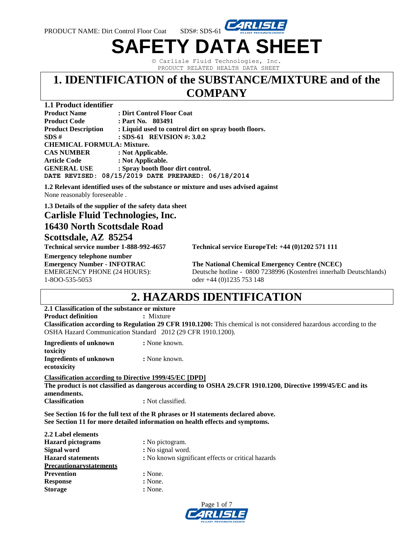

© Carlisle Fluid Technologies, Inc. PRODUCT RELATED HEALTH DATA SHEET

**SAFETY DATA SHEET**

### **1. IDENTIFICATION of the SUBSTANCE/MIXTURE and of the COMPANY**

### **1.1 Product identifier**

| <b>Product Name</b>               | : Dirt Control Floor Coat                            |
|-----------------------------------|------------------------------------------------------|
| <b>Product Code</b>               | : Part No. 803491                                    |
| <b>Product Description</b>        | : Liquid used to control dirt on spray booth floors. |
| SDS#                              | : SDS-61 REVISION #: 3.0.2                           |
| <b>CHEMICAL FORMULA: Mixture.</b> |                                                      |
| <b>CAS NUMBER</b>                 | : Not Applicable.                                    |
| <b>Article Code</b>               | : Not Applicable.                                    |
| <b>GENERAL USE</b>                | : Spray booth floor dirt control.                    |
|                                   | DATE REVISED: 08/15/2019 DATE PREPARED: 06/18/2014   |

**1.2 Relevant identified uses of the substance or mixture and uses advised against** None reasonably foreseeable .

**1.3 Details of the supplier of the safety data sheet**

## **Carlisle Fluid Technologies, Inc.**

### **16430 North Scottsdale Road**

### **Scottsdale, AZ 85254**

**Technical service number 1-888-992-4657 Technical service EuropeTel: +44 (0)1202 571 111** 

**Emergency telephone number Emergency Number - INFOTRAC The National Chemical Emergency Centre (NCEC)** 1-8OO-535-5053 oder +44 (0)1235 753 148

EMERGENCY PHONE (24 HOURS): Deutsche hotline - 0800 7238996 (Kostenfrei innerhalb Deutschlands)

# **2. HAZARDS IDENTIFICATION**

### **2.1 Classification of the substance or mixture**

**Product definition : Mixture : Mixture** 

**Classification according to Regulation 29 CFR 1910.1200:** This chemical is not considered hazardous according to the OSHA Hazard Communication Standard 2012 (29 CFR 1910.1200).

| Ingredients of unknown | : None known. |
|------------------------|---------------|
| toxicity               |               |
| Ingredients of unknown | : None known. |
| ecotoxicity            |               |

**Classification according to Directive 1999/45/EC [DPD] The product is not classified as dangerous according to OSHA 29.CFR 1910.1200, Directive 1999/45/EC and its amendments. Classification : Not classified.** 

**See Section 16 for the full text of the R phrases or H statements declared above. See Section 11 for more detailed information on health effects and symptoms.**

| 2.2 Label elements             |                                                    |
|--------------------------------|----------------------------------------------------|
| <b>Hazard</b> pictograms       | : No pictogram.                                    |
| Signal word                    | : No signal word.                                  |
| <b>Hazard statements</b>       | : No known significant effects or critical hazards |
| <b>Precautionarystatements</b> |                                                    |
| <b>Prevention</b>              | : None.                                            |
| <b>Response</b>                | : None.                                            |
| <b>Storage</b>                 | : None.                                            |
|                                |                                                    |

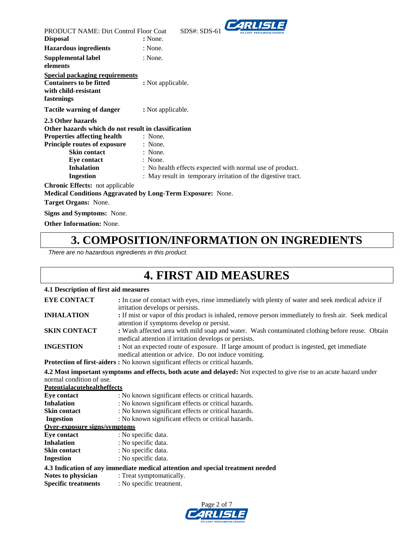

| <b>PRODUCT NAME: Dirt Control Floor Coat</b>                                                                  | $\sim$<br>$SDS#: SDS-61$                                          |  |
|---------------------------------------------------------------------------------------------------------------|-------------------------------------------------------------------|--|
| <b>Disposal</b>                                                                                               | : None.                                                           |  |
| <b>Hazardous ingredients</b>                                                                                  | : None.                                                           |  |
| Supplemental label                                                                                            | : None.                                                           |  |
| elements                                                                                                      |                                                                   |  |
| <b>Special packaging requirements</b><br><b>Containers to be fitted</b><br>with child-resistant<br>fastenings | : Not applicable.                                                 |  |
| Tactile warning of danger                                                                                     | : Not applicable.                                                 |  |
| 2.3 Other hazards                                                                                             |                                                                   |  |
| Other hazards which do not result in classification                                                           |                                                                   |  |
| <b>Properties affecting health</b>                                                                            | : None.                                                           |  |
| <b>Principle routes of exposure</b>                                                                           | : None.                                                           |  |
| <b>Skin contact</b>                                                                                           | : None.                                                           |  |
| Eye contact                                                                                                   | : None.                                                           |  |
| <b>Inhalation</b>                                                                                             | : No health effects expected with normal use of product.          |  |
| Ingestion                                                                                                     | : May result in temporary irritation of the digestive tract.      |  |
| Chronic Effects: not applicable                                                                               | <b>Medical Conditions Aggravated by Long-Term Exposure:</b> None. |  |
| Target Organs: None.                                                                                          |                                                                   |  |

**Signs and Symptoms:** None.

**Other Information:** None.

## **3. COMPOSITION/INFORMATION ON INGREDIENTS**

*There are no hazardous ingredients in this product.*

# **4. FIRST AID MEASURES**

### **4.1 Description of first aid measures**

| <b>EYE CONTACT</b>                 | : In case of contact with eyes, rinse immediately with plenty of water and seek medical advice if<br>irritation develops or persists.            |
|------------------------------------|--------------------------------------------------------------------------------------------------------------------------------------------------|
| <b>INHALATION</b>                  |                                                                                                                                                  |
|                                    | : If mist or vapor of this product is inhaled, remove person immediately to fresh air. Seek medical<br>attention if symptoms develop or persist. |
| <b>SKIN CONTACT</b>                | : Wash affected area with mild soap and water. Wash contaminated clothing before reuse. Obtain                                                   |
|                                    | medical attention if irritation develops or persists.                                                                                            |
| <b>INGESTION</b>                   | : Not an expected route of exposure. If large amount of product is ingested, get immediate                                                       |
|                                    | medical attention or advice. Do not induce vomiting.                                                                                             |
|                                    | <b>Protection of first-aiders:</b> No known significant effects or critical hazards.                                                             |
|                                    | 4.2 Most important symptoms and effects, both acute and delayed: Not expected to give rise to an acute hazard under                              |
| normal condition of use.           |                                                                                                                                                  |
| <b>Potentialacutehealtheffects</b> |                                                                                                                                                  |
| Eve contact                        | : No known significant effects or critical hazards.                                                                                              |
| <b>Inhalation</b>                  | : No known significant effects or critical hazards.                                                                                              |
| <b>Skin contact</b>                | : No known significant effects or critical hazards.                                                                                              |

| Ingestion |  | : No known significant effects or critical hazards. |
|-----------|--|-----------------------------------------------------|

### **Over-exposure signs/symptoms**

| <b>Eye contact</b> | : No specific data. |
|--------------------|---------------------|
| Inhalation         | : No specific data. |
| Skin contact       | : No specific data. |

```
Ingestion : No specific data.
```
### **4.3 Indication of any immediate medical attention and special treatment needed**

| Notes to physician | : Treat symptomatically. |
|--------------------|--------------------------|
|                    |                          |

**Specific treatments** : No specific treatment.

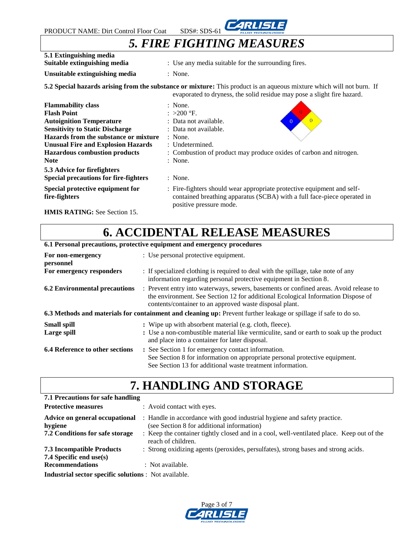

## *5. FIRE FIGHTING MEASURES*

| 5.1 Extinguishing media<br>Suitable extinguishing media                                                                                                                                                                                                                   | : Use any media suitable for the surrounding fires.                                                                                                                                                            |
|---------------------------------------------------------------------------------------------------------------------------------------------------------------------------------------------------------------------------------------------------------------------------|----------------------------------------------------------------------------------------------------------------------------------------------------------------------------------------------------------------|
| Unsuitable extinguishing media                                                                                                                                                                                                                                            | $:$ None.                                                                                                                                                                                                      |
|                                                                                                                                                                                                                                                                           | 5.2 Special hazards arising from the substance or mixture: This product is an aqueous mixture which will not burn. If<br>evaporated to dryness, the solid residue may pose a slight fire hazard.               |
| <b>Flammability class</b><br><b>Flash Point</b><br><b>Autoignition Temperature</b><br><b>Sensitivity to Static Discharge</b><br>Hazards from the substance or mixture<br><b>Unusual Fire and Explosion Hazards</b><br><b>Hazardous combustion products</b><br><b>Note</b> | : None.<br>: >200 °F.<br>: Data not available.<br>$\overline{0}$<br>: Data not available.<br>$:$ None.<br>$:$ Undetermined.<br>: Combustion of product may produce oxides of carbon and nitrogen.<br>$:$ None. |
| 5.3 Advice for firefighters<br><b>Special precautions for fire-fighters</b>                                                                                                                                                                                               | $:$ None.                                                                                                                                                                                                      |
| Special protective equipment for<br>fire-fighters                                                                                                                                                                                                                         | : Fire-fighters should wear appropriate protective equipment and self-<br>contained breathing apparatus (SCBA) with a full face-piece operated in<br>positive pressure mode.                                   |

**HMIS RATING:** See Section 15.

# **6. ACCIDENTAL RELEASE MEASURES**

| 6.1 Personal precautions, protective equipment and emergency procedures                                          |                                                                                                                                                                                                                                      |  |
|------------------------------------------------------------------------------------------------------------------|--------------------------------------------------------------------------------------------------------------------------------------------------------------------------------------------------------------------------------------|--|
| For non-emergency<br>personnel                                                                                   | : Use personal protective equipment.                                                                                                                                                                                                 |  |
| For emergency responders                                                                                         | : If specialized clothing is required to deal with the spillage, take note of any<br>information regarding personal protective equipment in Section 8.                                                                               |  |
| <b>6.2 Environmental precautions</b>                                                                             | : Prevent entry into waterways, sewers, basements or confined areas. Avoid release to<br>the environment. See Section 12 for additional Ecological Information Dispose of<br>contents/container to an approved waste disposal plant. |  |
| 6.3 Methods and materials for containment and cleaning up: Prevent further leakage or spillage if safe to do so. |                                                                                                                                                                                                                                      |  |
| Small spill<br>Large spill                                                                                       | : Wipe up with absorbent material (e.g. cloth, fleece).<br>: Use a non-combustible material like vermiculite, sand or earth to soak up the product<br>and place into a container for later disposal.                                 |  |
| <b>6.4 Reference to other sections</b>                                                                           | : See Section 1 for emergency contact information.<br>See Section 8 for information on appropriate personal protective equipment.<br>See Section 13 for additional waste treatment information.                                      |  |

# **7. HANDLING AND STORAGE**

| 7.1 Precautions for safe handling                                            |                                                                                                                                                                                                                                           |
|------------------------------------------------------------------------------|-------------------------------------------------------------------------------------------------------------------------------------------------------------------------------------------------------------------------------------------|
| <b>Protective measures</b>                                                   | : Avoid contact with eyes.                                                                                                                                                                                                                |
| Advice on general occupational<br>hygiene<br>7.2 Conditions for safe storage | : Handle in accordance with good industrial hygiene and safety practice.<br>(see Section 8 for additional information)<br>: Keep the container tightly closed and in a cool, well-ventilated place. Keep out of the<br>reach of children. |
| <b>7.3 Incompatible Products</b>                                             | : Strong oxidizing agents (peroxides, persulfates), strong bases and strong acids.                                                                                                                                                        |
| 7.4 Specific end use(s)                                                      |                                                                                                                                                                                                                                           |
| <b>Recommendations</b>                                                       | : Not available.                                                                                                                                                                                                                          |
| <b>Industrial sector specific solutions</b> : Not available.                 |                                                                                                                                                                                                                                           |

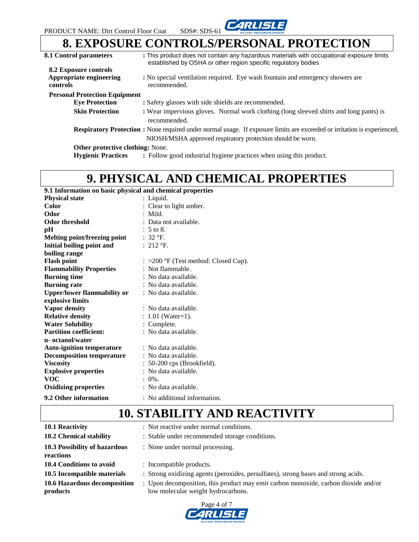

### **8. EXPOSURE CONTROLS/PERSONAL PROTECTION 8.1 Control parameters :** This product does not contain any hazardous materials with occupational exposure limits

| 0.1 CONTROL PARAMETERS                     | . This product does not contain any nazardous materials with occupational exposure limits<br>established by OSHA or other region specific regulatory bodies |
|--------------------------------------------|-------------------------------------------------------------------------------------------------------------------------------------------------------------|
| <b>8.2 Exposure controls</b>               |                                                                                                                                                             |
| Appropriate engineering<br><b>controls</b> | : No special ventilation required. Eye wash fountain and emergency showers are<br>recommended.                                                              |
| <b>Personal Protection Equipment</b>       |                                                                                                                                                             |
| <b>Eye Protection</b>                      | : Safety glasses with side shields are recommended.                                                                                                         |
| <b>Skin Protection</b>                     | : Wear impervious gloves. Normal work clothing (long sleeved shirts and long pants) is<br>recommended.                                                      |
|                                            | <b>Respiratory Protection :</b> None required under normal usage. If exposure limits are exceeded or irritation is experienced,                             |
|                                            | NIOSH/MSHA approved respiratory protection should be worn.                                                                                                  |
| <b>Other protective clothing:</b> None.    |                                                                                                                                                             |

**Hygienic Practices EXECT Product EXECT Product Product :** Follow good industrial hygiene practices when using this product.

# **9. PHYSICAL AND CHEMICAL PROPERTIES**

#### **9.1 Information on basic physical and chemical properties**

| <b>Physical state</b>              | : Liquid.                                       |
|------------------------------------|-------------------------------------------------|
| Color                              | Clear to light amber.                           |
| Odor                               | $:$ Mild.                                       |
| <b>Odor threshold</b>              | : Data not available.                           |
| pН                                 | $: 5$ to 8.                                     |
| Melting point/freezing point       | $:32$ °F.                                       |
| <b>Initial boiling point and</b>   | : $212$ °F.                                     |
| boiling range                      |                                                 |
| <b>Flash point</b>                 | $\therefore$ >200 °F (Test method: Closed Cup). |
| <b>Flammability Properties</b>     | : Not flammable.                                |
| <b>Burning time</b>                | : No data available.                            |
| <b>Burning rate</b>                | : No data available.                            |
| <b>Upper/lower flammability or</b> | : No data available.                            |
| explosive limits                   |                                                 |
| <b>Vapor density</b>               | : No data available.                            |
| <b>Relative density</b>            | : $1.01$ (Water=1).                             |
| <b>Water Solubility</b>            | : Complete.                                     |
| <b>Partition coefficient:</b>      | : No data available.                            |
| n- octanol/water                   |                                                 |
| <b>Auto-ignition temperature</b>   | : No data available.                            |
| <b>Decomposition temperature</b>   | : No data available.                            |
| <b>Viscosity</b>                   | $: 50-200$ cps (Brookfield).                    |
| <b>Explosive properties</b>        | : No data available.                            |
| <b>VOC</b>                         | $: 0\%$ .                                       |
| <b>Oxidizing properties</b>        | : No data available.                            |
| 9.2 Other information              | : No additional information.                    |

# **10. STABILITY AND REACTIVITY**

| 10.1 Reactivity               | : Not reactive under normal conditions.                                            |
|-------------------------------|------------------------------------------------------------------------------------|
| 10.2 Chemical stability       | : Stable under recommended storage conditions.                                     |
| 10.3 Possibility of hazardous | : None under normal processing.                                                    |
| reactions                     |                                                                                    |
| 10.4 Conditions to avoid      | : Incompatible products.                                                           |
| 10.5 Incompatible materials   | : Strong oxidizing agents (peroxides, persulfates), strong bases and strong acids. |
| 10.6 Hazardous decomposition  | : Upon decomposition, this product may emit carbon monoxide, carbon dioxide and/or |
| products                      | low molecular weight hydrocarbons.                                                 |

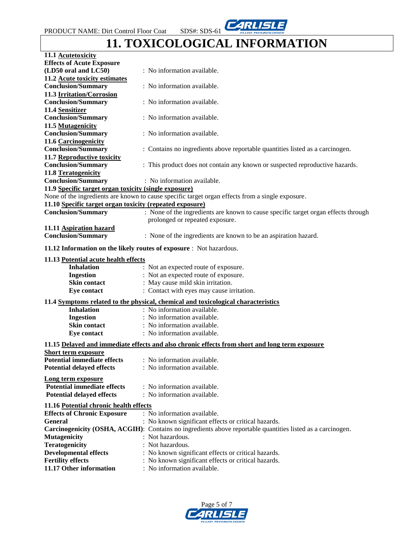

# **11. TOXICOLOGICAL INFORMATION**

| 11.1 Acutetoxicity                                                  |                                                                                                            |  |  |
|---------------------------------------------------------------------|------------------------------------------------------------------------------------------------------------|--|--|
| <b>Effects of Acute Exposure</b>                                    |                                                                                                            |  |  |
| (LD50 oral and LC50)                                                | : No information available.                                                                                |  |  |
| 11.2 Acute toxicity estimates                                       |                                                                                                            |  |  |
| <b>Conclusion/Summary</b>                                           | : No information available.                                                                                |  |  |
| 11.3 Irritation/Corrosion                                           |                                                                                                            |  |  |
| <b>Conclusion/Summary</b>                                           | : No information available.                                                                                |  |  |
| 11.4 Sensitizer                                                     |                                                                                                            |  |  |
| <b>Conclusion/Summary</b>                                           | : No information available.                                                                                |  |  |
| 11.5 Mutagenicity                                                   |                                                                                                            |  |  |
| <b>Conclusion/Summary</b>                                           | : No information available.                                                                                |  |  |
| 11.6 Carcinogenicity                                                |                                                                                                            |  |  |
| <b>Conclusion/Summary</b>                                           | : Contains no ingredients above reportable quantities listed as a carcinogen.                              |  |  |
| 11.7 Reproductive toxicity                                          |                                                                                                            |  |  |
| <b>Conclusion/Summary</b>                                           | : This product does not contain any known or suspected reproductive hazards.                               |  |  |
|                                                                     |                                                                                                            |  |  |
| 11.8 Teratogenicity                                                 |                                                                                                            |  |  |
| <b>Conclusion/Summary</b>                                           | : No information available.                                                                                |  |  |
| 11.9 Specific target organ toxicity (single exposure)               |                                                                                                            |  |  |
|                                                                     | None of the ingredients are known to cause specific target organ effects from a single exposure.           |  |  |
| 11.10 Specific target organ toxicity (repeated exposure)            |                                                                                                            |  |  |
| <b>Conclusion/Summary</b>                                           | : None of the ingredients are known to cause specific target organ effects through                         |  |  |
|                                                                     | prolonged or repeated exposure.                                                                            |  |  |
| 11.11 Aspiration hazard                                             |                                                                                                            |  |  |
| <b>Conclusion/Summary</b>                                           | : None of the ingredients are known to be an aspiration hazard.                                            |  |  |
|                                                                     |                                                                                                            |  |  |
| 11.12 Information on the likely routes of exposure : Not hazardous. |                                                                                                            |  |  |
| 11.13 Potential acute health effects                                |                                                                                                            |  |  |
| <b>Inhalation</b>                                                   | : Not an expected route of exposure.                                                                       |  |  |
| <b>Ingestion</b>                                                    | : Not an expected route of exposure.                                                                       |  |  |
| Skin contact                                                        | : May cause mild skin irritation.                                                                          |  |  |
| Eye contact                                                         | : Contact with eyes may cause irritation.                                                                  |  |  |
|                                                                     |                                                                                                            |  |  |
|                                                                     | 11.4 Symptoms related to the physical, chemical and toxicological characteristics                          |  |  |
| <b>Inhalation</b>                                                   | : No information available.                                                                                |  |  |
| <b>Ingestion</b>                                                    | : No information available.                                                                                |  |  |
| Skin contact                                                        | : No information available.                                                                                |  |  |
| Eye contact                                                         | : No information available.                                                                                |  |  |
|                                                                     |                                                                                                            |  |  |
|                                                                     | 11.15 Delayed and immediate effects and also chronic effects from short and long term exposure             |  |  |
| <u>Short term exposure</u>                                          |                                                                                                            |  |  |
| <b>Potential immediate effects</b> : No information available.      |                                                                                                            |  |  |
| <b>Potential delayed effects</b>                                    | : No information available.                                                                                |  |  |
| Long term exposure                                                  |                                                                                                            |  |  |
| <b>Potential immediate effects</b>                                  | : No information available.                                                                                |  |  |
| <b>Potential delayed effects</b>                                    | : No information available.                                                                                |  |  |
|                                                                     |                                                                                                            |  |  |
| 11.16 Potential chronic health effects                              |                                                                                                            |  |  |
| <b>Effects of Chronic Exposure</b>                                  | : No information available.                                                                                |  |  |
| General                                                             | : No known significant effects or critical hazards.                                                        |  |  |
|                                                                     | Carcinogenicity (OSHA, ACGIH): Contains no ingredients above reportable quantities listed as a carcinogen. |  |  |
| <b>Mutagenicity</b>                                                 | : Not hazardous.                                                                                           |  |  |
| <b>Teratogenicity</b>                                               | : Not hazardous.                                                                                           |  |  |
| <b>Developmental effects</b>                                        | : No known significant effects or critical hazards.                                                        |  |  |
| <b>Fertility effects</b>                                            | : No known significant effects or critical hazards.                                                        |  |  |
| 11.17 Other information                                             | : No information available.                                                                                |  |  |

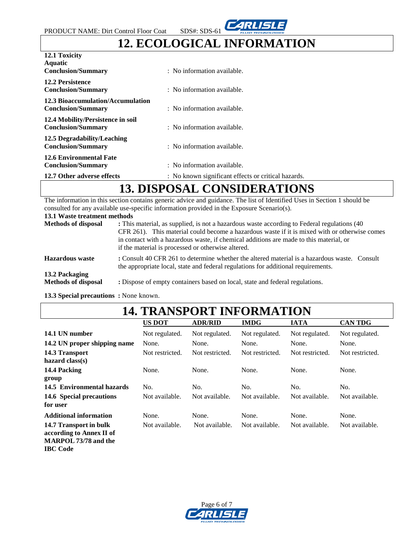

# **12. ECOLOGICAL INFORMATION**

| 12.1 Toxicity                                                  |                                                     |  |  |
|----------------------------------------------------------------|-----------------------------------------------------|--|--|
| <b>Aquatic</b><br><b>Conclusion/Summary</b>                    | : No information available.                         |  |  |
| <b>12.2 Persistence</b><br><b>Conclusion/Summary</b>           | : No information available.                         |  |  |
| 12.3 Bioaccumulation/Accumulation<br><b>Conclusion/Summary</b> | : No information available.                         |  |  |
| 12.4 Mobility/Persistence in soil<br><b>Conclusion/Summary</b> | : No information available.                         |  |  |
| 12.5 Degradability/Leaching<br><b>Conclusion/Summary</b>       | : No information available.                         |  |  |
| <b>12.6 Environmental Fate</b><br><b>Conclusion/Summary</b>    | : No information available.                         |  |  |
| 12.7 Other adverse effects                                     | : No known significant effects or critical hazards. |  |  |
| NICDOCAL CONSTRUED ATTONS<br>1 <b>A</b>                        |                                                     |  |  |

# **13. DISPOSAL CONSIDERATIONS**

The information in this section contains generic advice and guidance. The list of Identified Uses in Section 1 should be consulted for any available use-specific information provided in the Exposure Scenario(s).

| 13.1 Waste treatment methods |  |  |
|------------------------------|--|--|
|------------------------------|--|--|

| <b>Methods of disposal</b>                   | : This material, as supplied, is not a hazardous waste according to Federal regulations (40)<br>CFR 261). This material could become a hazardous waste if it is mixed with or otherwise comes<br>in contact with a hazardous waste, if chemical additions are made to this material, or<br>if the material is processed or otherwise altered. |  |
|----------------------------------------------|-----------------------------------------------------------------------------------------------------------------------------------------------------------------------------------------------------------------------------------------------------------------------------------------------------------------------------------------------|--|
| <b>Hazardous</b> waste                       | : Consult 40 CFR 261 to determine whether the altered material is a hazardous waste. Consult<br>the appropriate local, state and federal regulations for additional requirements.                                                                                                                                                             |  |
| 13.2 Packaging<br><b>Methods of disposal</b> | : Dispose of empty containers based on local, state and federal regulations.                                                                                                                                                                                                                                                                  |  |

**13.3 Special precautions :** None known.

# **14. TRANSPORT INFORMATION**

|                                                                                   | <b>US DOT</b>   | <b>ADR/RID</b>  | <b>IMDG</b>     | <b>IATA</b>     | <b>CAN TDG</b>  |
|-----------------------------------------------------------------------------------|-----------------|-----------------|-----------------|-----------------|-----------------|
| 14.1 UN number                                                                    | Not regulated.  | Not regulated.  | Not regulated.  | Not regulated.  | Not regulated.  |
| 14.2 UN proper shipping name                                                      | None.           | None.           | None.           | None.           | None.           |
| 14.3 Transport<br>hazard $class(s)$                                               | Not restricted. | Not restricted. | Not restricted. | Not restricted. | Not restricted. |
| 14.4 Packing                                                                      | None.           | None.           | None.           | None.           | None.           |
| group                                                                             |                 |                 |                 |                 |                 |
| 14.5 Environmental hazards                                                        | No.             | No.             | No.             | No.             | No.             |
| 14.6 Special precautions<br>for user                                              | Not available.  | Not available.  | Not available.  | Not available.  | Not available.  |
| <b>Additional information</b>                                                     | None.           | None.           | None.           | None.           | None.           |
| 14.7 Transport in bulk<br>according to Annex II of<br><b>MARPOL 73/78 and the</b> | Not available.  | Not available.  | Not available.  | Not available.  | Not available.  |

**IBC Code**